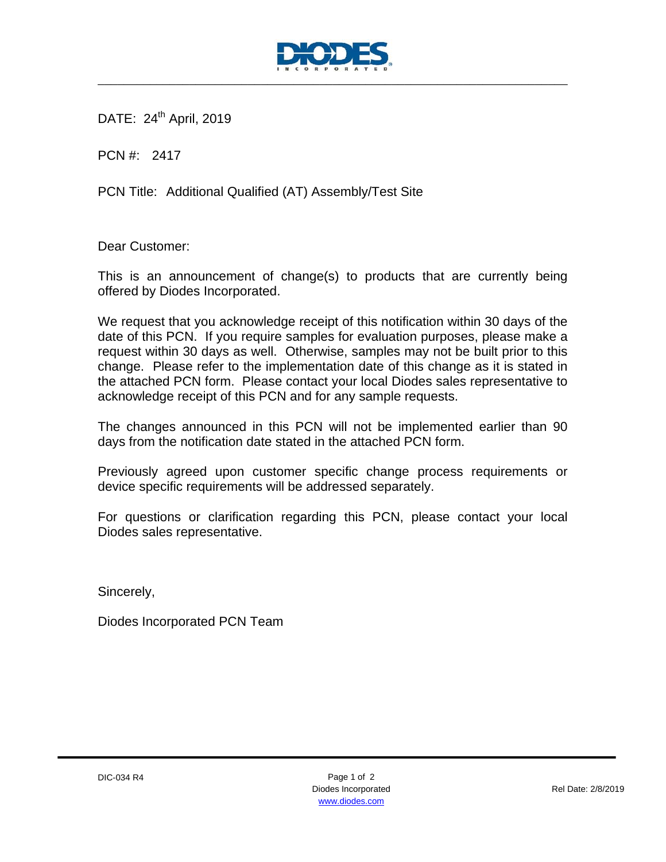

DATE: 24<sup>th</sup> April, 2019

PCN #: 2417

PCN Title: Additional Qualified (AT) Assembly/Test Site

Dear Customer:

This is an announcement of change(s) to products that are currently being offered by Diodes Incorporated.

We request that you acknowledge receipt of this notification within 30 days of the date of this PCN. If you require samples for evaluation purposes, please make a request within 30 days as well. Otherwise, samples may not be built prior to this change. Please refer to the implementation date of this change as it is stated in the attached PCN form. Please contact your local Diodes sales representative to acknowledge receipt of this PCN and for any sample requests.

The changes announced in this PCN will not be implemented earlier than 90 days from the notification date stated in the attached PCN form.

Previously agreed upon customer specific change process requirements or device specific requirements will be addressed separately.

For questions or clarification regarding this PCN, please contact your local Diodes sales representative.

Sincerely,

Diodes Incorporated PCN Team